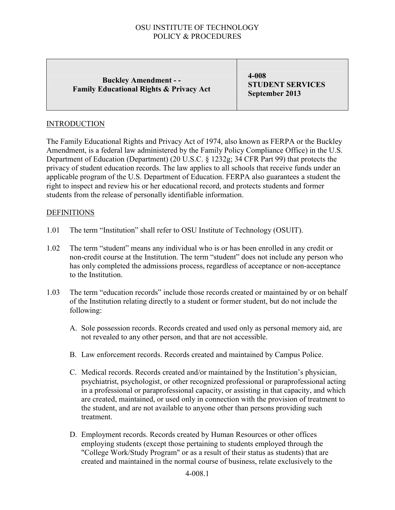### Buckley Amendment - - Family Educational Rights & Privacy Act

4-008 STUDENT SERVICES September 2013

### **INTRODUCTION**

The Family Educational Rights and Privacy Act of 1974, also known as FERPA or the Buckley Amendment, is a federal law administered by the Family Policy Compliance Office) in the U.S. Department of Education (Department) (20 U.S.C. § 1232g; 34 CFR Part 99) that protects the privacy of student education records. The law applies to all schools that receive funds under an applicable program of the U.S. Department of Education. FERPA also guarantees a student the right to inspect and review his or her educational record, and protects students and former students from the release of personally identifiable information.

#### **DEFINITIONS**

- 1.01 The term "Institution" shall refer to OSU Institute of Technology (OSUIT).
- 1.02 The term "student" means any individual who is or has been enrolled in any credit or non-credit course at the Institution. The term "student" does not include any person who has only completed the admissions process, regardless of acceptance or non-acceptance to the Institution.
- 1.03 The term "education records" include those records created or maintained by or on behalf of the Institution relating directly to a student or former student, but do not include the following:
	- A. Sole possession records. Records created and used only as personal memory aid, are not revealed to any other person, and that are not accessible.
	- B. Law enforcement records. Records created and maintained by Campus Police.
	- C. Medical records. Records created and/or maintained by the Institution's physician, psychiatrist, psychologist, or other recognized professional or paraprofessional acting in a professional or paraprofessional capacity, or assisting in that capacity, and which are created, maintained, or used only in connection with the provision of treatment to the student, and are not available to anyone other than persons providing such treatment.
	- D. Employment records. Records created by Human Resources or other offices employing students (except those pertaining to students employed through the "College Work/Study Program" or as a result of their status as students) that are created and maintained in the normal course of business, relate exclusively to the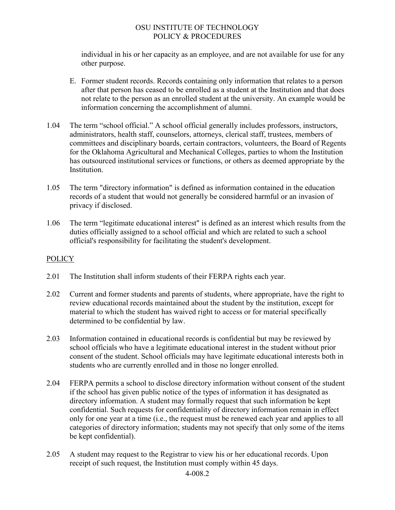individual in his or her capacity as an employee, and are not available for use for any other purpose.

- E. Former student records. Records containing only information that relates to a person after that person has ceased to be enrolled as a student at the Institution and that does not relate to the person as an enrolled student at the university. An example would be information concerning the accomplishment of alumni.
- 1.04 The term "school official." A school official generally includes professors, instructors, administrators, health staff, counselors, attorneys, clerical staff, trustees, members of committees and disciplinary boards, certain contractors, volunteers, the Board of Regents for the Oklahoma Agricultural and Mechanical Colleges, parties to whom the Institution has outsourced institutional services or functions, or others as deemed appropriate by the Institution.
- 1.05 The term "directory information" is defined as information contained in the education records of a student that would not generally be considered harmful or an invasion of privacy if disclosed.
- 1.06 The term "legitimate educational interest" is defined as an interest which results from the duties officially assigned to a school official and which are related to such a school official's responsibility for facilitating the student's development.

### **POLICY**

- 2.01 The Institution shall inform students of their FERPA rights each year.
- 2.02 Current and former students and parents of students, where appropriate, have the right to review educational records maintained about the student by the institution, except for material to which the student has waived right to access or for material specifically determined to be confidential by law.
- 2.03 Information contained in educational records is confidential but may be reviewed by school officials who have a legitimate educational interest in the student without prior consent of the student. School officials may have legitimate educational interests both in students who are currently enrolled and in those no longer enrolled.
- 2.04 FERPA permits a school to disclose directory information without consent of the student if the school has given public notice of the types of information it has designated as directory information. A student may formally request that such information be kept confidential. Such requests for confidentiality of directory information remain in effect only for one year at a time (i.e., the request must be renewed each year and applies to all categories of directory information; students may not specify that only some of the items be kept confidential).
- 2.05 A student may request to the Registrar to view his or her educational records. Upon receipt of such request, the Institution must comply within 45 days.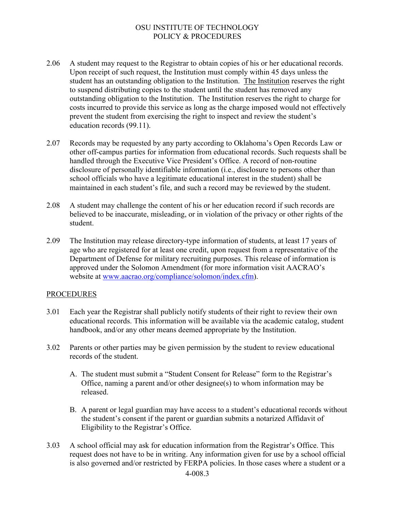- 2.06 A student may request to the Registrar to obtain copies of his or her educational records. Upon receipt of such request, the Institution must comply within 45 days unless the student has an outstanding obligation to the Institution. The Institution reserves the right to suspend distributing copies to the student until the student has removed any outstanding obligation to the Institution. The Institution reserves the right to charge for costs incurred to provide this service as long as the charge imposed would not effectively prevent the student from exercising the right to inspect and review the student's education records (99.11).
- 2.07 Records may be requested by any party according to Oklahoma's Open Records Law or other off-campus parties for information from educational records. Such requests shall be handled through the Executive Vice President's Office. A record of non-routine disclosure of personally identifiable information (i.e., disclosure to persons other than school officials who have a legitimate educational interest in the student) shall be maintained in each student's file, and such a record may be reviewed by the student.
- 2.08 A student may challenge the content of his or her education record if such records are believed to be inaccurate, misleading, or in violation of the privacy or other rights of the student.
- 2.09 The Institution may release directory-type information of students, at least 17 years of age who are registered for at least one credit, upon request from a representative of the Department of Defense for military recruiting purposes. This release of information is approved under the Solomon Amendment (for more information visit AACRAO's website at [www.aacrao.org/compliance/solomon/index.cfm](http://www.aacrao.org/compliance/solomon/index.cfm)).

#### PROCEDURES

- 3.01 Each year the Registrar shall publicly notify students of their right to review their own educational records. This information will be available via the academic catalog, student handbook, and/or any other means deemed appropriate by the Institution.
- 3.02 Parents or other parties may be given permission by the student to review educational records of the student.
	- A. The student must submit a "Student Consent for Release" form to the Registrar's Office, naming a parent and/or other designee(s) to whom information may be released.
	- B. A parent or legal guardian may have access to a student's educational records without the student's consent if the parent or guardian submits a notarized Affidavit of Eligibility to the Registrar's Office.
- 3.03 A school official may ask for education information from the Registrar's Office. This request does not have to be in writing. Any information given for use by a school official is also governed and/or restricted by FERPA policies. In those cases where a student or a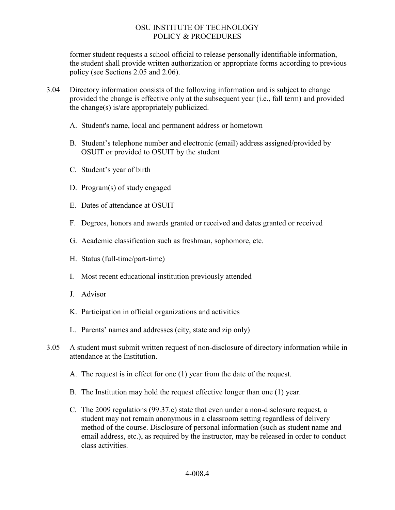former student requests a school official to release personally identifiable information, the student shall provide written authorization or appropriate forms according to previous policy (see Sections 2.05 and 2.06).

- 3.04 Directory information consists of the following information and is subject to change provided the change is effective only at the subsequent year (i.e., fall term) and provided the change(s) is/are appropriately publicized.
	- A. Student's name, local and permanent address or hometown
	- B. Student's telephone number and electronic (email) address assigned/provided by OSUIT or provided to OSUIT by the student
	- C. Student's year of birth
	- D. Program(s) of study engaged
	- E. Dates of attendance at OSUIT
	- F. Degrees, honors and awards granted or received and dates granted or received
	- G. Academic classification such as freshman, sophomore, etc.
	- H. Status (full-time/part-time)
	- I. Most recent educational institution previously attended
	- J. Advisor
	- K. Participation in official organizations and activities
	- L. Parents' names and addresses (city, state and zip only)
- 3.05 A student must submit written request of non-disclosure of directory information while in attendance at the Institution.
	- A. The request is in effect for one (1) year from the date of the request.
	- B. The Institution may hold the request effective longer than one (1) year.
	- C. The 2009 regulations (99.37.c) state that even under a non-disclosure request, a student may not remain anonymous in a classroom setting regardless of delivery method of the course. Disclosure of personal information (such as student name and email address, etc.), as required by the instructor, may be released in order to conduct class activities.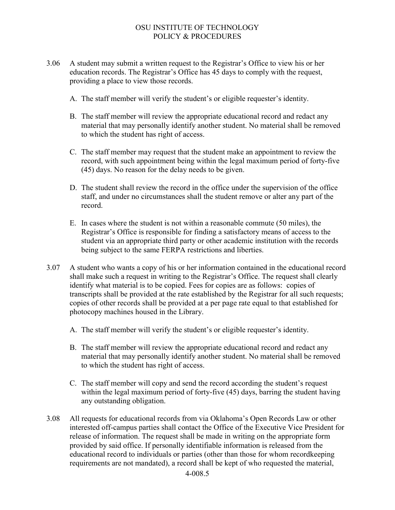- 3.06 A student may submit a written request to the Registrar's Office to view his or her education records. The Registrar's Office has 45 days to comply with the request, providing a place to view those records.
	- A. The staff member will verify the student's or eligible requester's identity.
	- B. The staff member will review the appropriate educational record and redact any material that may personally identify another student. No material shall be removed to which the student has right of access.
	- C. The staff member may request that the student make an appointment to review the record, with such appointment being within the legal maximum period of forty-five (45) days. No reason for the delay needs to be given.
	- D. The student shall review the record in the office under the supervision of the office staff, and under no circumstances shall the student remove or alter any part of the record.
	- E. In cases where the student is not within a reasonable commute (50 miles), the Registrar's Office is responsible for finding a satisfactory means of access to the student via an appropriate third party or other academic institution with the records being subject to the same FERPA restrictions and liberties.
- 3.07 A student who wants a copy of his or her information contained in the educational record shall make such a request in writing to the Registrar's Office. The request shall clearly identify what material is to be copied. Fees for copies are as follows: copies of transcripts shall be provided at the rate established by the Registrar for all such requests; copies of other records shall be provided at a per page rate equal to that established for photocopy machines housed in the Library.
	- A. The staff member will verify the student's or eligible requester's identity.
	- B. The staff member will review the appropriate educational record and redact any material that may personally identify another student. No material shall be removed to which the student has right of access.
	- C. The staff member will copy and send the record according the student's request within the legal maximum period of forty-five (45) days, barring the student having any outstanding obligation.
- 3.08 All requests for educational records from via Oklahoma's Open Records Law or other interested off-campus parties shall contact the Office of the Executive Vice President for release of information. The request shall be made in writing on the appropriate form provided by said office. If personally identifiable information is released from the educational record to individuals or parties (other than those for whom recordkeeping requirements are not mandated), a record shall be kept of who requested the material,